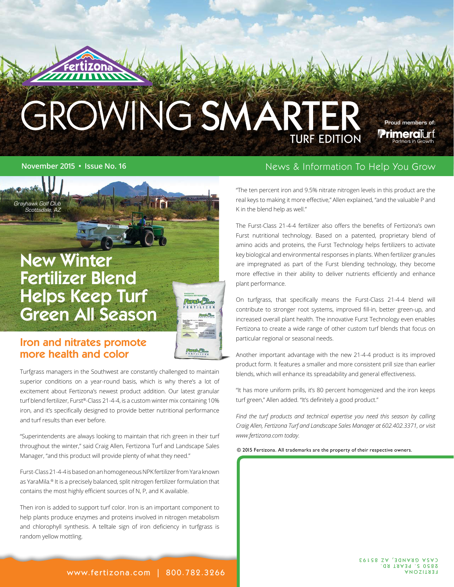# GROWING SMARTER

**FUTCIL** 

Grayhawk Golf Club Scottsdale, AZ

> New Winter Fertilizer Blend Helps Keep Turf Green All Season

### Iron and nitrates promote more health and color

Turfgrass managers in the Southwest are constantly challenged to maintain superior conditions on a year-round basis, which is why there's a lot of excitement about Fertizona's newest product addition. Our latest granular turf blend fertilizer, Furst®-Class 21-4-4, is a custom winter mix containing 10% iron, and it's specifically designed to provide better nutritional performance and turf results than ever before.

"Superintendents are always looking to maintain that rich green in their turf throughout the winter," said Craig Allen, Fertizona Turf and Landscape Sales Manager, "and this product will provide plenty of what they need."

Furst-Class 21-4-4 is based on an homogeneous NPK fertilizer from Yara known as YaraMila.® It is a precisely balanced, split nitrogen fertilizer formulation that contains the most highly efficient sources of N, P, and K available.

Then iron is added to support turf color. Iron is an important component to help plants produce enzymes and proteins involved in nitrogen metabolism and chlorophyll synthesis. A telltale sign of iron deficiency in turfgrass is random yellow mottling.

#### **November 2015 • Issue No. 16** News & Information To Help You Grow

Proud members of:

**Primeral**urf

"The ten percent iron and 9.5% nitrate nitrogen levels in this product are the real keys to making it more effective," Allen explained, "and the valuable P and K in the blend help as well."

The Furst-Class 21-4-4 fertilizer also offers the benefits of Fertizona's own Furst nutritional technology. Based on a patented, proprietary blend of amino acids and proteins, the Furst Technology helps fertilizers to activate key biological and environmental responses in plants. When fertilizer granules are impregnated as part of the Furst blending technology, they become more effective in their ability to deliver nutrients efficiently and enhance plant performance.

On turfgrass, that specifically means the Furst-Class 21-4-4 blend will contribute to stronger root systems, improved fill-in, better green-up, and increased overall plant health. The innovative Furst Technology even enables Fertizona to create a wide range of other custom turf blends that focus on particular regional or seasonal needs.

Another important advantage with the new 21-4-4 product is its improved product form. It features a smaller and more consistent prill size than earlier blends, which will enhance its spreadability and general effectiveness.

"It has more uniform prills, it's 80 percent homogenized and the iron keeps turf green," Allen added. "It's definitely a good product."

*Find the turf products and technical expertise you need this season by calling Craig Allen, Fertizona Turf and Landscape Sales Manager at 602.402.3371, or visit www.fertizona.com today.*

© 2015 Fertizona. All trademarks are the property of their respective owners.

www.fertizona.com | 800.782.3266